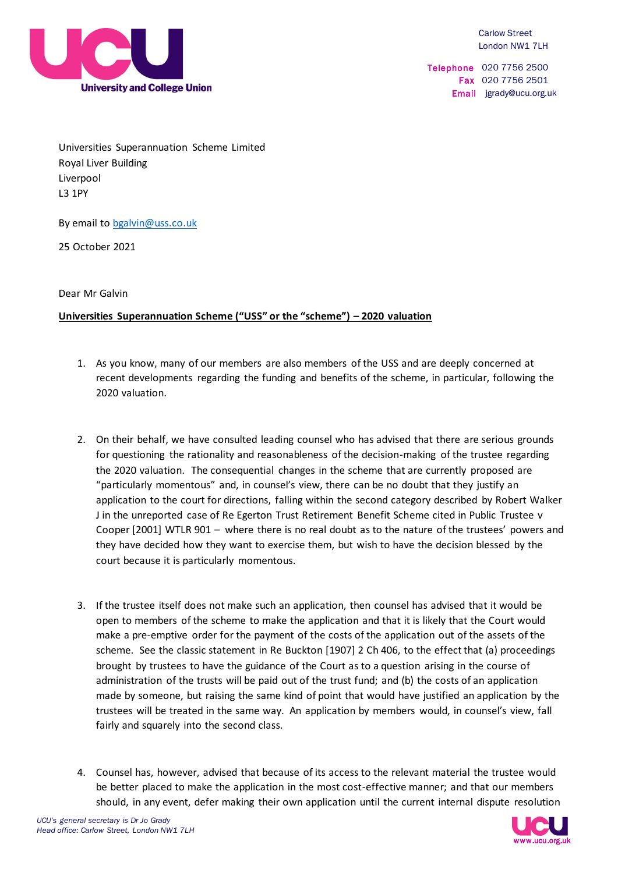

Telephone 020 7756 2500 Fax 020 7756 2501 Email jgrady@ucu.org.uk

Universities Superannuation Scheme Limited Royal Liver Building Liverpool L3 1PY

By email to [bgalvin@uss.co.uk](mailto:bgalvin@uss.co.uk)

25 October 2021

Dear Mr Galvin

## **Universities Superannuation Scheme ("USS" or the "scheme") – 2020 valuation**

- 1. As you know, many of our members are also members of the USS and are deeply concerned at recent developments regarding the funding and benefits of the scheme, in particular, following the 2020 valuation.
- 2. On their behalf, we have consulted leading counsel who has advised that there are serious grounds for questioning the rationality and reasonableness of the decision-making of the trustee regarding the 2020 valuation. The consequential changes in the scheme that are currently proposed are "particularly momentous" and, in counsel's view, there can be no doubt that they justify an application to the court for directions, falling within the second category described by Robert Walker J in the unreported case of Re Egerton Trust Retirement Benefit Scheme cited in Public Trustee v Cooper [2001] WTLR 901 – where there is no real doubt as to the nature of the trustees' powers and they have decided how they want to exercise them, but wish to have the decision blessed by the court because it is particularly momentous.
- 3. If the trustee itself does not make such an application, then counsel has advised that it would be open to members of the scheme to make the application and that it is likely that the Court would make a pre-emptive order for the payment of the costs of the application out of the assets of the scheme. See the classic statement in Re Buckton [1907] 2 Ch 406, to the effect that (a) proceedings brought by trustees to have the guidance of the Court as to a question arising in the course of administration of the trusts will be paid out of the trust fund; and (b) the costs of an application made by someone, but raising the same kind of point that would have justified an application by the trustees will be treated in the same way. An application by members would, in counsel's view, fall fairly and squarely into the second class.
- 4. Counsel has, however, advised that because of its access to the relevant material the trustee would be better placed to make the application in the most cost-effective manner; and that our members should, in any event, defer making their own application until the current internal dispute resolution

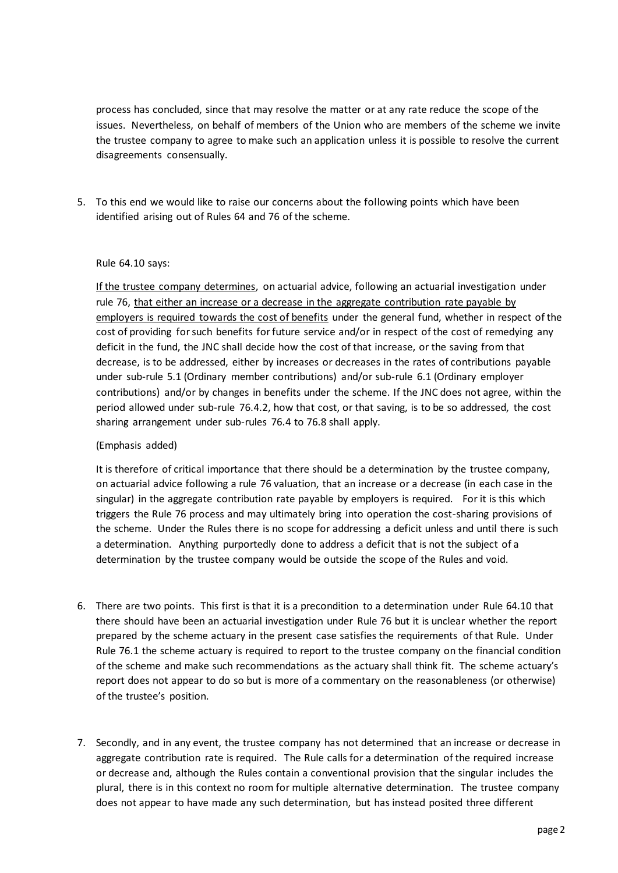process has concluded, since that may resolve the matter or at any rate reduce the scope of the issues. Nevertheless, on behalf of members of the Union who are members of the scheme we invite the trustee company to agree to make such an application unless it is possible to resolve the current disagreements consensually.

5. To this end we would like to raise our concerns about the following points which have been identified arising out of Rules 64 and 76 of the scheme.

## Rule 64.10 says:

If the trustee company determines, on actuarial advice, following an actuarial investigation under rule 76, that either an increase or a decrease in the aggregate contribution rate payable by employers is required towards the cost of benefits under the general fund, whether in respect of the cost of providing for such benefits for future service and/or in respect of the cost of remedying any deficit in the fund, the JNC shall decide how the cost of that increase, or the saving from that decrease, is to be addressed, either by increases or decreases in the rates of contributions payable under sub-rule 5.1 (Ordinary member contributions) and/or sub-rule 6.1 (Ordinary employer contributions) and/or by changes in benefits under the scheme. If the JNC does not agree, within the period allowed under sub-rule 76.4.2, how that cost, or that saving, is to be so addressed, the cost sharing arrangement under sub-rules 76.4 to 76.8 shall apply.

## (Emphasis added)

It is therefore of critical importance that there should be a determination by the trustee company, on actuarial advice following a rule 76 valuation, that an increase or a decrease (in each case in the singular) in the aggregate contribution rate payable by employers is required. For it is this which triggers the Rule 76 process and may ultimately bring into operation the cost-sharing provisions of the scheme. Under the Rules there is no scope for addressing a deficit unless and until there is such a determination. Anything purportedly done to address a deficit that is not the subject of a determination by the trustee company would be outside the scope of the Rules and void.

- 6. There are two points. This first is that it is a precondition to a determination under Rule 64.10 that there should have been an actuarial investigation under Rule 76 but it is unclear whether the report prepared by the scheme actuary in the present case satisfies the requirements of that Rule. Under Rule 76.1 the scheme actuary is required to report to the trustee company on the financial condition of the scheme and make such recommendations as the actuary shall think fit. The scheme actuary's report does not appear to do so but is more of a commentary on the reasonableness (or otherwise) of the trustee's position.
- 7. Secondly, and in any event, the trustee company has not determined that an increase or decrease in aggregate contribution rate is required. The Rule calls for a determination of the required increase or decrease and, although the Rules contain a conventional provision that the singular includes the plural, there is in this context no room for multiple alternative determination. The trustee company does not appear to have made any such determination, but has instead posited three different